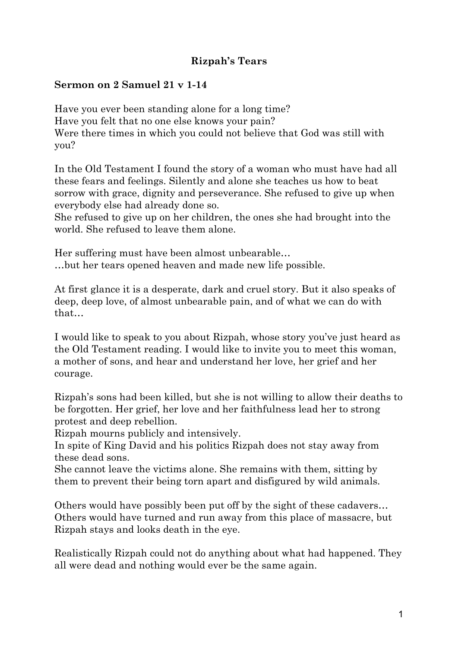## **Rizpah's Tears**

## **Sermon on 2 Samuel 21 v 1-14**

Have you ever been standing alone for a long time? Have you felt that no one else knows your pain? Were there times in which you could not believe that God was still with you?

In the Old Testament I found the story of a woman who must have had all these fears and feelings. Silently and alone she teaches us how to beat sorrow with grace, dignity and perseverance. She refused to give up when everybody else had already done so.

She refused to give up on her children, the ones she had brought into the world. She refused to leave them alone.

Her suffering must have been almost unbearable… …but her tears opened heaven and made new life possible.

At first glance it is a desperate, dark and cruel story. But it also speaks of deep, deep love, of almost unbearable pain, and of what we can do with that…

I would like to speak to you about Rizpah, whose story you've just heard as the Old Testament reading. I would like to invite you to meet this woman, a mother of sons, and hear and understand her love, her grief and her courage.

Rizpah's sons had been killed, but she is not willing to allow their deaths to be forgotten. Her grief, her love and her faithfulness lead her to strong protest and deep rebellion.

Rizpah mourns publicly and intensively.

In spite of King David and his politics Rizpah does not stay away from these dead sons.

She cannot leave the victims alone. She remains with them, sitting by them to prevent their being torn apart and disfigured by wild animals.

Others would have possibly been put off by the sight of these cadavers… Others would have turned and run away from this place of massacre, but Rizpah stays and looks death in the eye.

Realistically Rizpah could not do anything about what had happened. They all were dead and nothing would ever be the same again.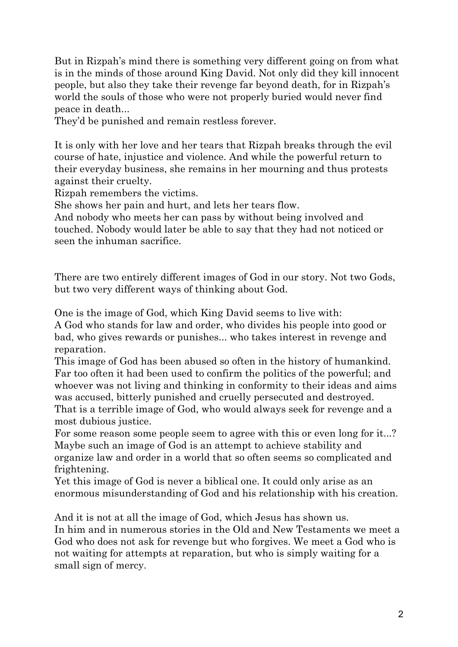But in Rizpah's mind there is something very different going on from what is in the minds of those around King David. Not only did they kill innocent people, but also they take their revenge far beyond death, for in Rizpah's world the souls of those who were not properly buried would never find peace in death...

They'd be punished and remain restless forever.

It is only with her love and her tears that Rizpah breaks through the evil course of hate, injustice and violence. And while the powerful return to their everyday business, she remains in her mourning and thus protests against their cruelty.

Rizpah remembers the victims.

She shows her pain and hurt, and lets her tears flow.

And nobody who meets her can pass by without being involved and touched. Nobody would later be able to say that they had not noticed or seen the inhuman sacrifice.

There are two entirely different images of God in our story. Not two Gods, but two very different ways of thinking about God.

One is the image of God, which King David seems to live with:

A God who stands for law and order, who divides his people into good or bad, who gives rewards or punishes... who takes interest in revenge and reparation.

This image of God has been abused so often in the history of humankind. Far too often it had been used to confirm the politics of the powerful; and whoever was not living and thinking in conformity to their ideas and aims was accused, bitterly punished and cruelly persecuted and destroyed. That is a terrible image of God, who would always seek for revenge and a most dubious justice.

For some reason some people seem to agree with this or even long for it...? Maybe such an image of God is an attempt to achieve stability and organize law and order in a world that so often seems so complicated and frightening.

Yet this image of God is never a biblical one. It could only arise as an enormous misunderstanding of God and his relationship with his creation.

And it is not at all the image of God, which Jesus has shown us. In him and in numerous stories in the Old and New Testaments we meet a

God who does not ask for revenge but who forgives. We meet a God who is not waiting for attempts at reparation, but who is simply waiting for a small sign of mercy.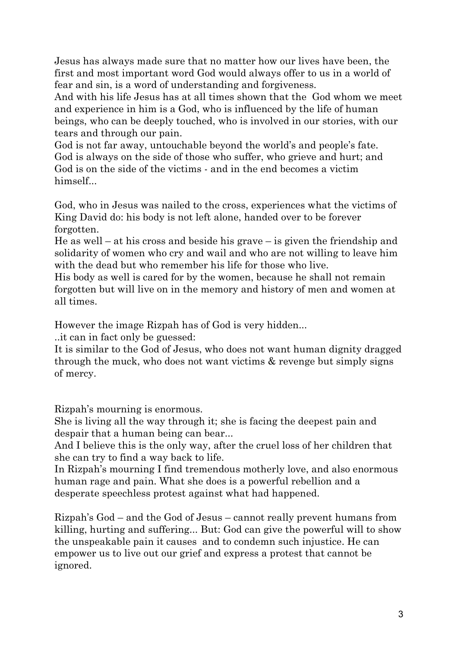Jesus has always made sure that no matter how our lives have been, the first and most important word God would always offer to us in a world of fear and sin, is a word of understanding and forgiveness.

And with his life Jesus has at all times shown that the God whom we meet and experience in him is a God, who is influenced by the life of human beings, who can be deeply touched, who is involved in our stories, with our tears and through our pain.

God is not far away, untouchable beyond the world's and people's fate. God is always on the side of those who suffer, who grieve and hurt; and God is on the side of the victims - and in the end becomes a victim himself...

God, who in Jesus was nailed to the cross, experiences what the victims of King David do: his body is not left alone, handed over to be forever forgotten.

He as well – at his cross and beside his grave – is given the friendship and solidarity of women who cry and wail and who are not willing to leave him with the dead but who remember his life for those who live.

His body as well is cared for by the women, because he shall not remain forgotten but will live on in the memory and history of men and women at all times.

However the image Rizpah has of God is very hidden...

..it can in fact only be guessed:

It is similar to the God of Jesus, who does not want human dignity dragged through the muck, who does not want victims & revenge but simply signs of mercy.

Rizpah's mourning is enormous.

She is living all the way through it; she is facing the deepest pain and despair that a human being can bear...

And I believe this is the only way, after the cruel loss of her children that she can try to find a way back to life.

In Rizpah's mourning I find tremendous motherly love, and also enormous human rage and pain. What she does is a powerful rebellion and a desperate speechless protest against what had happened.

Rizpah's God – and the God of Jesus – cannot really prevent humans from killing, hurting and suffering... But: God can give the powerful will to show the unspeakable pain it causes and to condemn such injustice. He can empower us to live out our grief and express a protest that cannot be ignored.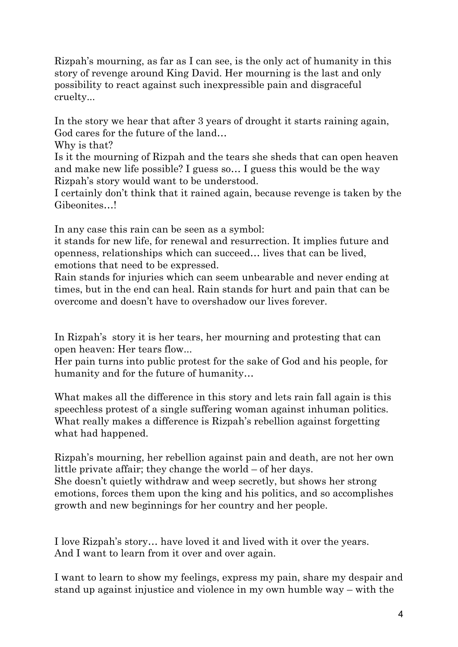Rizpah's mourning, as far as I can see, is the only act of humanity in this story of revenge around King David. Her mourning is the last and only possibility to react against such inexpressible pain and disgraceful cruelty...

In the story we hear that after 3 years of drought it starts raining again, God cares for the future of the land…

Why is that?

Is it the mourning of Rizpah and the tears she sheds that can open heaven and make new life possible? I guess so… I guess this would be the way Rizpah's story would want to be understood.

I certainly don't think that it rained again, because revenge is taken by the Gibeonites…!

In any case this rain can be seen as a symbol:

it stands for new life, for renewal and resurrection. It implies future and openness, relationships which can succeed… lives that can be lived, emotions that need to be expressed.

Rain stands for injuries which can seem unbearable and never ending at times, but in the end can heal. Rain stands for hurt and pain that can be overcome and doesn't have to overshadow our lives forever.

In Rizpah's story it is her tears, her mourning and protesting that can open heaven: Her tears flow...

Her pain turns into public protest for the sake of God and his people, for humanity and for the future of humanity…

What makes all the difference in this story and lets rain fall again is this speechless protest of a single suffering woman against inhuman politics. What really makes a difference is Rizpah's rebellion against forgetting what had happened.

Rizpah's mourning, her rebellion against pain and death, are not her own little private affair; they change the world – of her days. She doesn't quietly withdraw and weep secretly, but shows her strong emotions, forces them upon the king and his politics, and so accomplishes growth and new beginnings for her country and her people.

I love Rizpah's story… have loved it and lived with it over the years. And I want to learn from it over and over again.

I want to learn to show my feelings, express my pain, share my despair and stand up against injustice and violence in my own humble way – with the